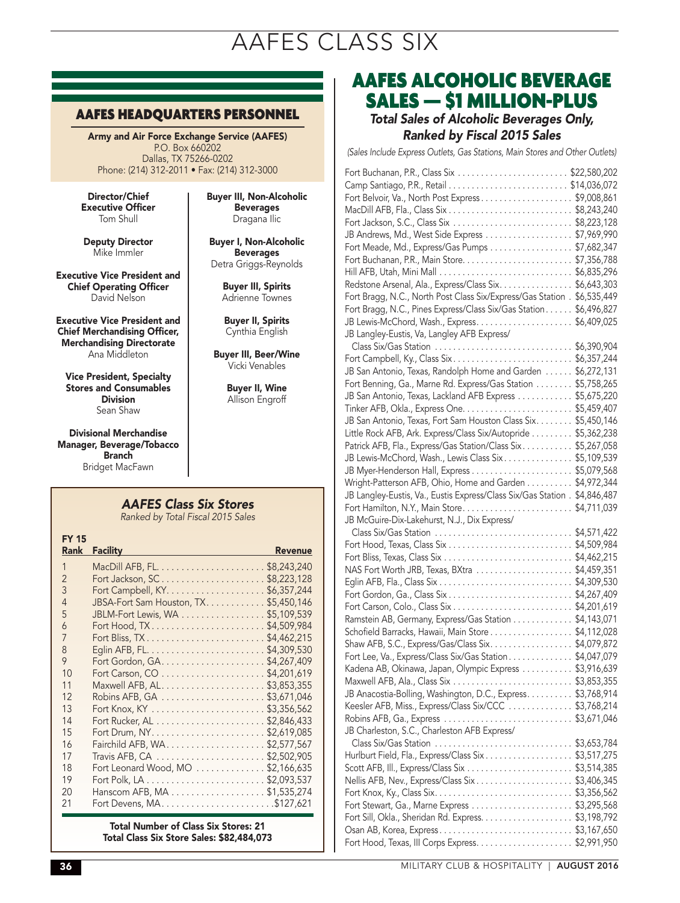## AAFES CLASS SIX

#### AAFES HEADQUARTERS PERSONNEL

Army and Air Force Exchange Service (AAFES) P.O. Box 660202 Dallas, TX 75266-0202 Phone: (214) 312-2011 • Fax: (214) 312-3000

Director/Chief Executive Officer Tom Shull

Deputy Director Mike Immler

Executive Vice President and Chief Operating Officer David Nelson

Executive Vice President and Chief Merchandising Officer, Merchandising Directorate Ana Middleton

Vice President, Specialty Stores and Consumables Division Sean Shaw

Divisional Merchandise Manager, Beverage/Tobacco **Branch** Bridget MacFawn

Buyer III, Non-Alcoholic **Beverages** Dragana Ilic

Buyer I, Non-Alcoholic Beverages Detra Griggs-Reynolds

> Buyer III, Spirits Adrienne Townes

Buyer II, Spirits Cynthia English

Buyer III, Beer/Wine Vicki Venables

> Buyer II, Wine Allison Engroff

## *AAFES Class Six Stores*

*Ranked by Total Fiscal 2015 Sales*

| <b>FY 15</b><br><b>Rank</b> | <b>Facility</b>                        | <b>Revenue</b> |
|-----------------------------|----------------------------------------|----------------|
| 1                           |                                        |                |
| $\overline{\phantom{0}}$    | Fort Jackson, SC\$8,223,128            |                |
| 3                           |                                        |                |
| $\overline{4}$              | JBSA-Fort Sam Houston, TX. \$5,450,146 |                |
| 5                           | JBLM-Fort Lewis, WA \$5,109,539        |                |
| 6                           |                                        |                |
| 7                           | Fort Bliss, TX\$4,462,215              |                |
| 8                           |                                        |                |
| 9                           |                                        |                |
| 10                          |                                        |                |
| 11                          |                                        |                |
| 12                          |                                        |                |
| 13                          |                                        |                |
| 14                          |                                        |                |
| 15                          |                                        |                |
| 16                          |                                        |                |
| 17                          |                                        |                |
| 18                          | Fort Leonard Wood, MO \$2,166,635      |                |
| 19                          |                                        |                |
| 20                          | Hanscom AFB, MA \$1,535,274            |                |
| 21                          |                                        |                |

Total Number of Class Six Stores: 21 Total Class Six Store Sales: \$82,484,073

## AAFES ALCOHOLIC BEVERAGE SALES — \$1 MILLION-PLUS

### *Total Sales of Alcoholic Beverages Only, Ranked by Fiscal 2015 Sales*

*(Sales Include Express Outlets, Gas Stations, Main Stores and Other Outlets)*

| Fort Belvoir, Va., North Post Express\$9,008,861                           |             |
|----------------------------------------------------------------------------|-------------|
|                                                                            |             |
|                                                                            |             |
| JB Andrews, Md., West Side Express \$7,969,990                             |             |
| Fort Meade, Md., Express/Gas Pumps \$7,682,347                             |             |
|                                                                            |             |
|                                                                            |             |
| Redstone Arsenal, Ala., Express/Class Six. \$6,643,303                     |             |
| Fort Bragg, N.C., North Post Class Six/Express/Gas Station . \$6,535,449   |             |
| Fort Bragg, N.C., Pines Express/Class Six/Gas Station \$6,496,827          |             |
|                                                                            |             |
| JB Langley-Eustis, Va, Langley AFB Express/                                |             |
|                                                                            |             |
| Fort Campbell, Ky., Class Six \$6,357,244                                  |             |
| JB San Antonio, Texas, Randolph Home and Garden  \$6,272,131               |             |
| Fort Benning, Ga., Marne Rd. Express/Gas Station \$5,758,265               |             |
| JB San Antonio, Texas, Lackland AFB Express  \$5,675,220                   |             |
|                                                                            |             |
| JB San Antonio, Texas, Fort Sam Houston Class Six. \$5,450,146             |             |
| Little Rock AFB, Ark. Express/Class Six/Autopride \$5,362,238              |             |
| Patrick AFB, Fla., Express/Gas Station/Class Six \$5,267,058               |             |
| JB Lewis-McChord, Wash., Lewis Class Six \$5,109,539                       |             |
|                                                                            |             |
| Wright-Patterson AFB, Ohio, Home and Garden \$4,972,344                    |             |
| JB Langley-Eustis, Va., Eustis Express/Class Six/Gas Station . \$4,846,487 |             |
|                                                                            |             |
| JB McGuire-Dix-Lakehurst, N.J., Dix Express/                               |             |
|                                                                            |             |
|                                                                            |             |
|                                                                            |             |
| NAS Fort Worth JRB, Texas, BXtra                                           | \$4,459,351 |
|                                                                            | \$4,309,530 |
| Fort Gordon, Ga., Class Six                                                | \$4,267,409 |
|                                                                            |             |
| Ramstein AB, Germany, Express/Gas Station \$4,143,071                      |             |
| Schofield Barracks, Hawaii, Main Store \$4,112,028                         |             |
| Shaw AFB, S.C., Express/Gas/Class Six. \$4,079,872                         |             |
| Fort Lee, Va., Express/Class Six/Gas Station\$4,047,079                    |             |
| Kadena AB, Okinawa, Japan, Olympic Express \$3,916,639                     |             |
|                                                                            |             |
| JB Anacostia-Bolling, Washington, D.C., Express. \$3,768,914               |             |
| Keesler AFB, Miss., Express/Class Six/CCC  \$3,768,214                     |             |
|                                                                            |             |
| JB Charleston, S.C., Charleston AFB Express/                               |             |
| Class Six/Gas Station \$3,653,784                                          |             |
| Hurlburt Field, Fla., Express/Class Six\$3,517,275                         |             |
|                                                                            |             |
| Nellis AFB, Nev., Express/Class Six \$3,406,345                            |             |
|                                                                            |             |
|                                                                            |             |
| Fort Sill, Okla., Sheridan Rd. Express. \$3,198,792                        |             |
| Osan AB, Korea, Express\$3,167,650                                         |             |
| Fort Hood, Texas, III Corps Express. \$2,991,950                           |             |

36 MILITARY CLUB & HOSPITALITY | AUGUST 2016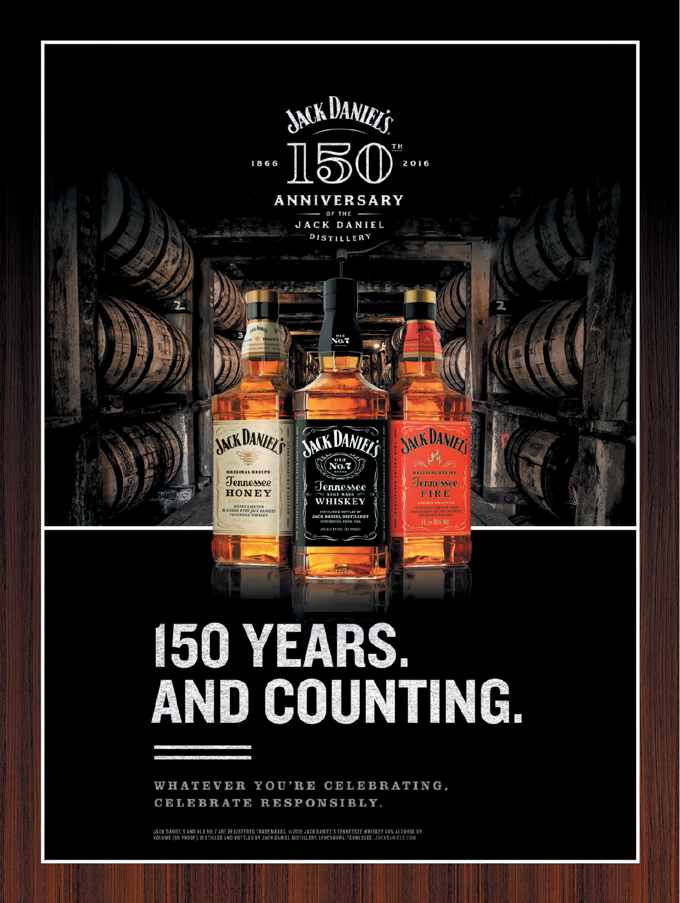

# 150 YEARS. AND COUNTING.

WHATEVER YOU'RE CELEBRATING. CELEBRATE RESPONSIBLY.

JACK DANIEL'S AND OLD NO. 7 ARE REGISTERED TRADEMARKS. @2016 JACK DANIEL'S TENNESSEE WHISKEY 40% ALCOHOL BY<br>Volume (60 proof). Distilled and bottled by JACK DANIEL Distillery, Lynchburg, Tennessee. JACKDANIELS.COM